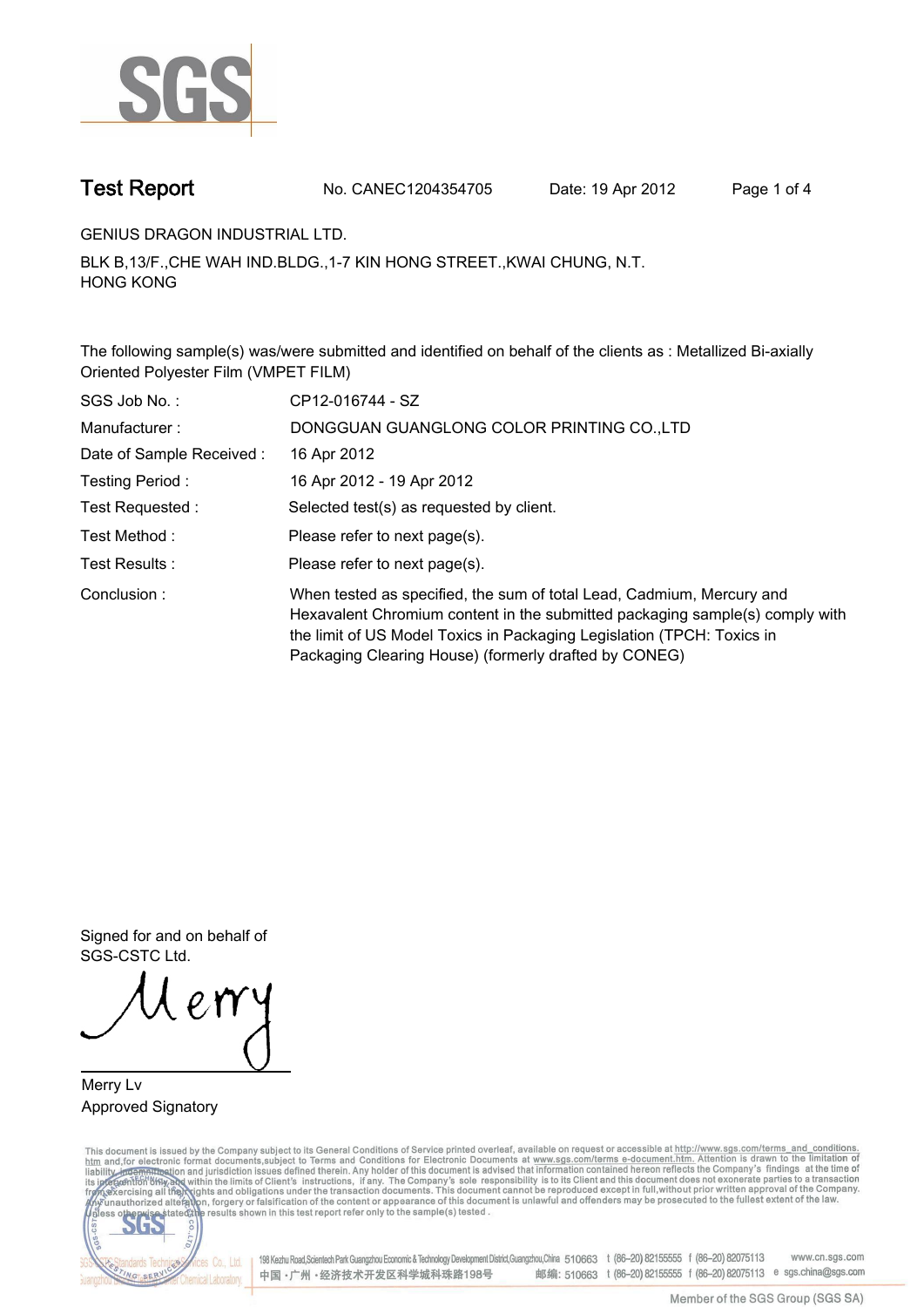

**Test Report. No. CANEC1204354705 Date: 19 Apr 2012. Page 1 of 4.**

**GENIUS DRAGON INDUSTRIAL LTD..**

**BLK B,13/F.,CHE WAH IND.BLDG.,1-7 KIN HONG STREET.,KWAI CHUNG, N.T. HONG KONG.**

**The following sample(s) was/were submitted and identified on behalf of the clients as : Metallized Bi-axially Oriented Polyester Film (VMPET FILM).**

| SGS Job No.:             | CP12-016744 - SZ                                                                                                                                                                                                                                                                         |
|--------------------------|------------------------------------------------------------------------------------------------------------------------------------------------------------------------------------------------------------------------------------------------------------------------------------------|
| Manufacturer:            | DONGGUAN GUANGLONG COLOR PRINTING CO., LTD                                                                                                                                                                                                                                               |
| Date of Sample Received: | 16 Apr 2012                                                                                                                                                                                                                                                                              |
| Testing Period:          | 16 Apr 2012 - 19 Apr 2012                                                                                                                                                                                                                                                                |
| Test Requested :         | Selected test(s) as requested by client.                                                                                                                                                                                                                                                 |
| Test Method :            | Please refer to next page(s).                                                                                                                                                                                                                                                            |
| Test Results:            | Please refer to next page(s).                                                                                                                                                                                                                                                            |
| Conclusion:              | When tested as specified, the sum of total Lead, Cadmium, Mercury and<br>Hexavalent Chromium content in the submitted packaging sample(s) comply with<br>the limit of US Model Toxics in Packaging Legislation (TPCH: Toxics in<br>Packaging Clearing House) (formerly drafted by CONEG) |

**Signed for and on behalf of SGS-CSTC Ltd..**

**Merry Lv. Approved Signatory.**

This document is issued by the Company subject to its General Conditions of Service printed overleaf, available on request or accessible at http://www.sgs.com/terms\_and\_conditions.<br>htm\_and,for electronic format documents,s



198 Kezhu Road, Scientech Park Guangzhou Economic & Technology Development District, Guangzhou, China 510663 t (86-20) 82155555 f (86-20) 82075113 www.cn.sgs.com 邮编: 510663 t (86-20) 82155555 f (86-20) 82075113 e sgs.china@sgs.com 中国·广州·经济技术开发区科学城科珠路198号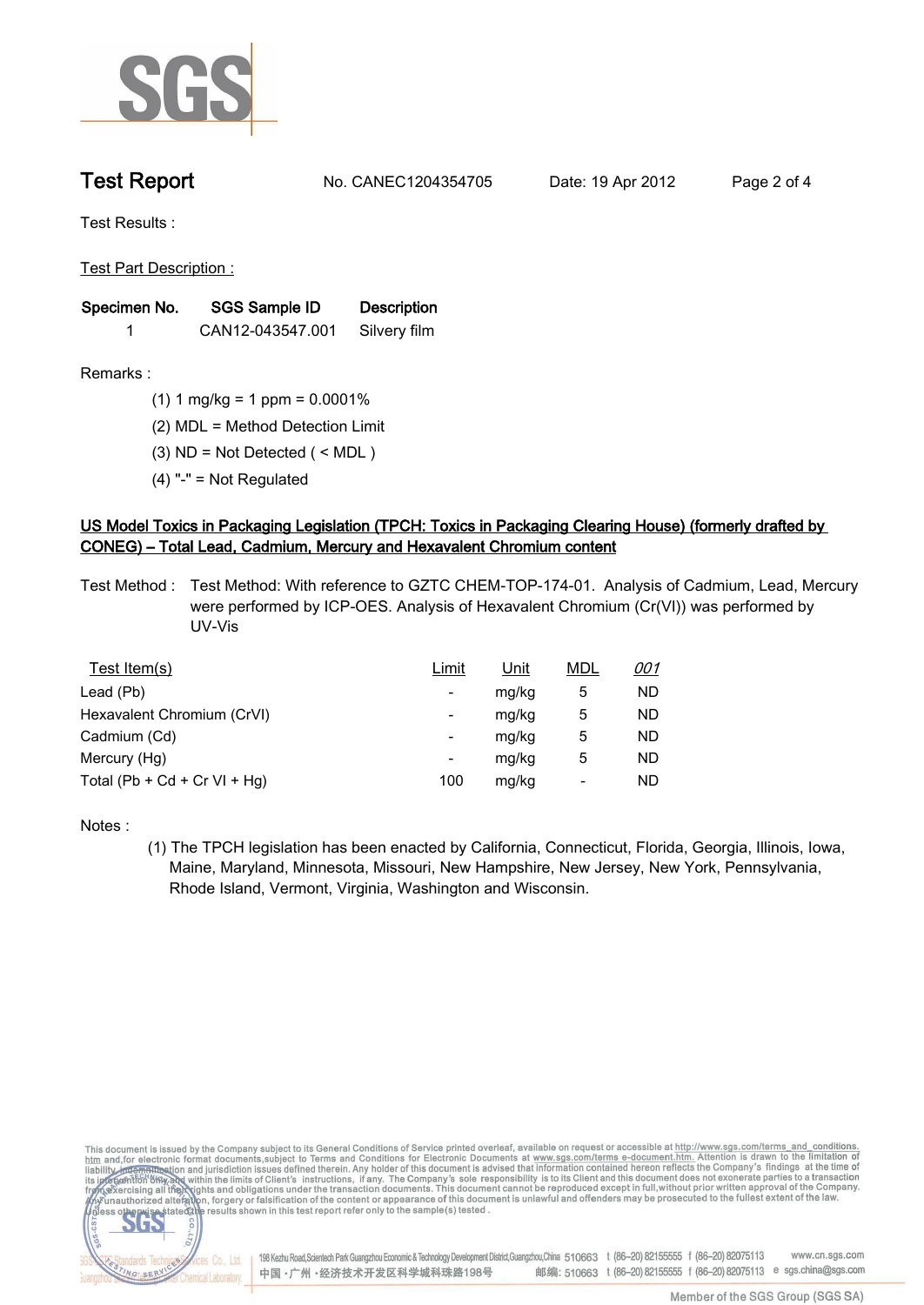

**Test Report. No. CANEC1204354705 Date: 19 Apr 2012. Page 2 of 4.**

**Test Results :.**

**Test Part Description :.**

| Specimen No. | SGS Sample ID    | <b>Description</b> |  |
|--------------|------------------|--------------------|--|
|              | CAN12-043547.001 | Silvery film       |  |

**Remarks :.(1) 1 mg/kg = 1 ppm = 0.0001%.**

**(2) MDL = Method Detection Limit.**

**(3) ND = Not Detected ( < MDL ).**

**(4) "-" = Not Regulated.**

## **US Model Toxics in Packaging Legislation (TPCH: Toxics in Packaging Clearing House) (formerly drafted by CONEG) – Total Lead, Cadmium, Mercury and Hexavalent Chromium content.**

**Test Method :. Test Method: With reference to GZTC CHEM-TOP-174-01. Analysis of Cadmium, Lead, Mercury were performed by ICP-OES. Analysis of Hexavalent Chromium (Cr(VI)) was performed by UV-Vis.**

| Test Item(s)                 | <u>Limit</u> | <u>Unit</u> | <b>MDL</b> | <u>001</u> |
|------------------------------|--------------|-------------|------------|------------|
| Lead (Pb)                    |              | mg/kg       | 5          | ND         |
| Hexavalent Chromium (CrVI)   | -            | mg/kg       | 5          | ND         |
| Cadmium (Cd)                 | -            | mg/kg       | 5          | ND         |
| Mercury (Hg)                 | -            | mg/kg       | 5          | ND         |
| Total (Pb + Cd + Cr VI + Hg) | 100          | mg/kg       |            | ND         |

**Notes :.**

**(1) The TPCH legislation has been enacted by California, Connecticut, Florida, Georgia, Illinois, Iowa, Maine, Maryland, Minnesota, Missouri, New Hampshire, New Jersey, New York, Pennsylvania, Rhode Island, Vermont, Virginia, Washington and Wisconsin..**

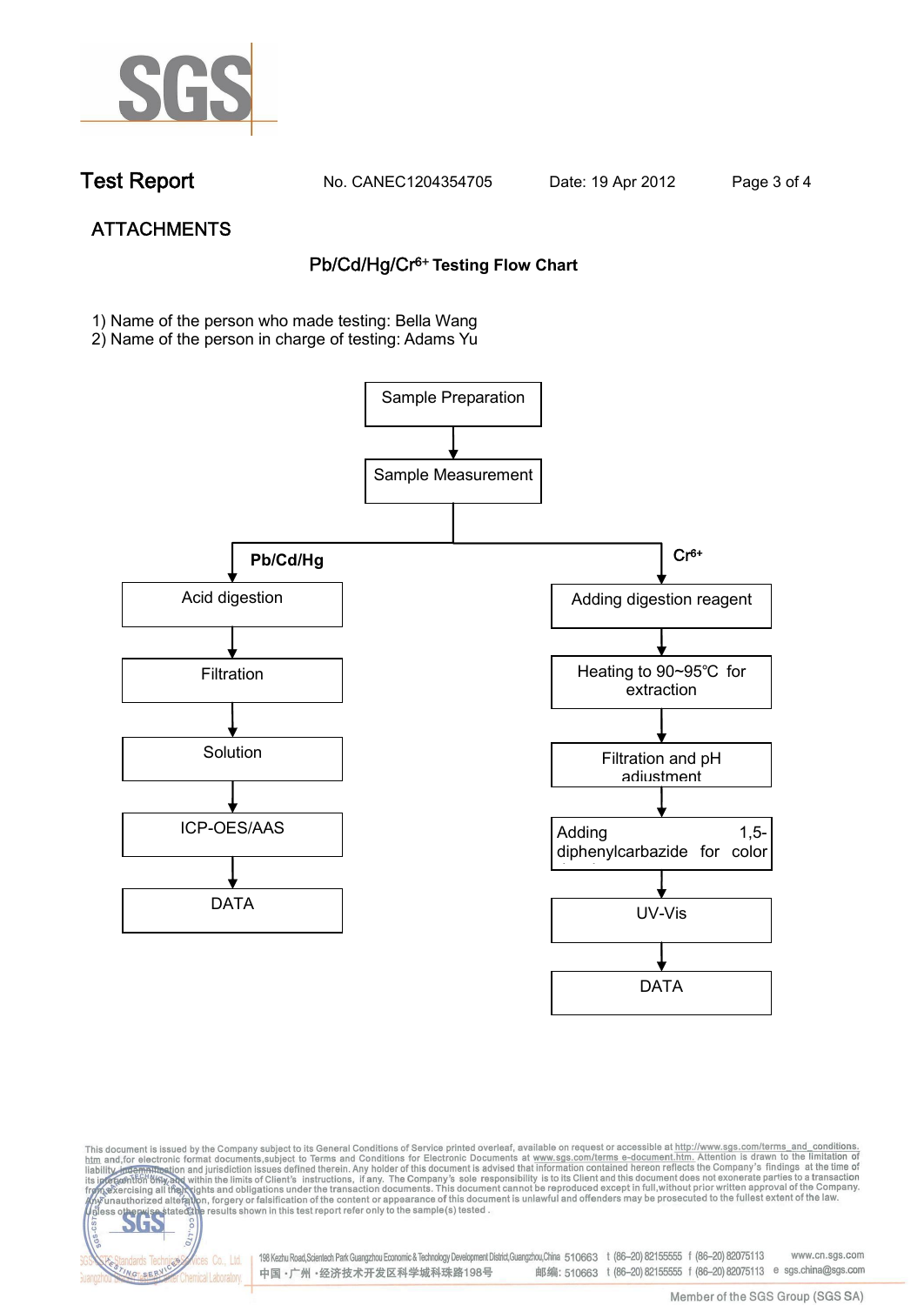

NG SER

**Chemical Laboratory** 

**Test Report. No. CANEC1204354705 Date: 19 Apr 2012. Page 3 of 4.**

# **ATTACHMENTS Pb/Cd/Hg/Cr6+ Testing Flow Chart**

**1)** Name of the person who made testing: Bella Wang

2) Name of the person in charge of testing: Adams Yu